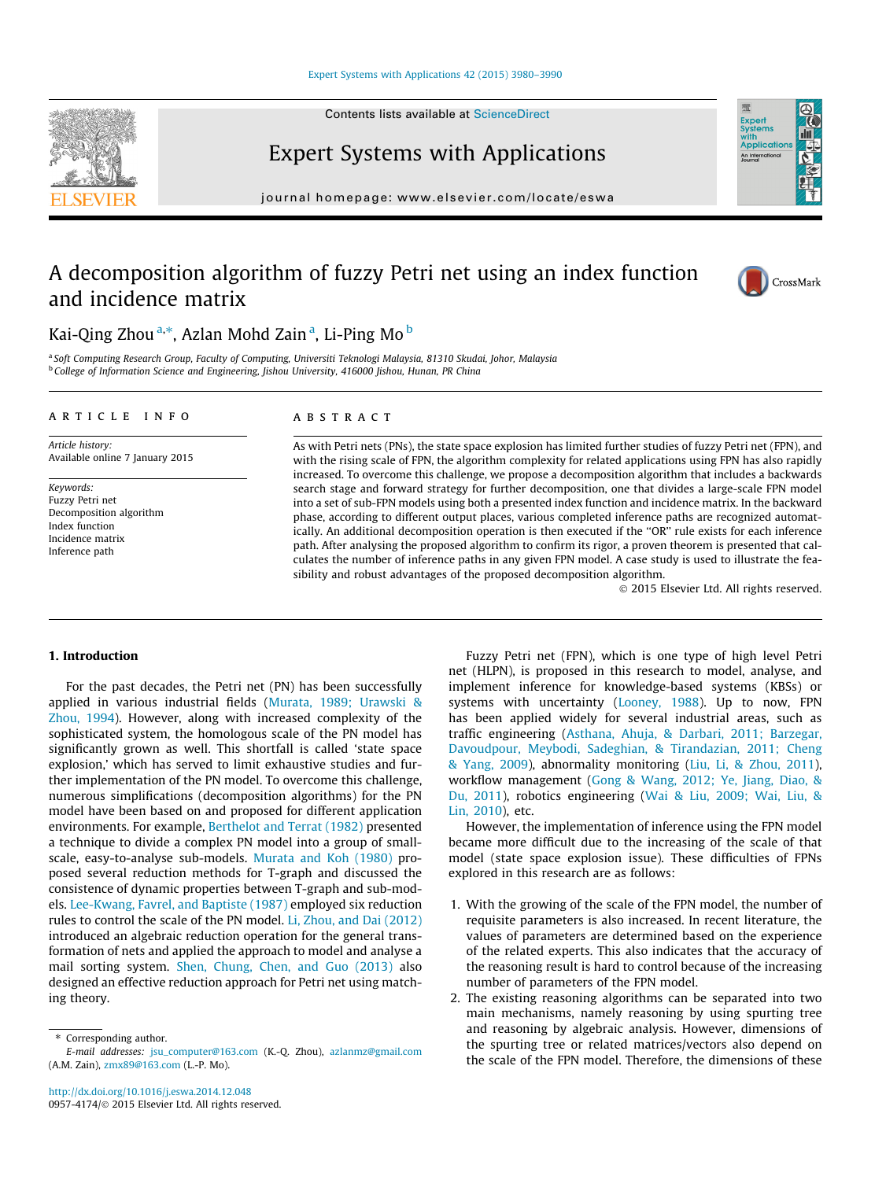#### [Expert Systems with Applications 42 \(2015\) 3980–3990](http://dx.doi.org/10.1016/j.eswa.2014.12.048)

Contents lists available at [ScienceDirect](http://www.sciencedirect.com/science/journal/09574174)



Expert Systems with Applications

journal homepage: [www.elsevier.com/locate/eswa](http://www.elsevier.com/locate/eswa)

## A decomposition algorithm of fuzzy Petri net using an index function and incidence matrix



Expert<br>Systems with<br>Application An Internati

### Kai-Qing Zhou <sup>a,</sup>\*, Azlan Mohd Zain <sup>a</sup>, Li-Ping Mo <sup>b</sup>

<sup>a</sup> Soft Computing Research Group, Faculty of Computing, Universiti Teknologi Malaysia, 81310 Skudai, Johor, Malaysia <sup>b</sup> College of Information Science and Engineering, Jishou University, 416000 Jishou, Hunan, PR China

#### article info

Article history: Available online 7 January 2015

Keywords: Fuzzy Petri net Decomposition algorithm Index function Incidence matrix Inference path

#### ABSTRACT

As with Petri nets (PNs), the state space explosion has limited further studies of fuzzy Petri net (FPN), and with the rising scale of FPN, the algorithm complexity for related applications using FPN has also rapidly increased. To overcome this challenge, we propose a decomposition algorithm that includes a backwards search stage and forward strategy for further decomposition, one that divides a large-scale FPN model into a set of sub-FPN models using both a presented index function and incidence matrix. In the backward phase, according to different output places, various completed inference paths are recognized automatically. An additional decomposition operation is then executed if the ''OR'' rule exists for each inference path. After analysing the proposed algorithm to confirm its rigor, a proven theorem is presented that calculates the number of inference paths in any given FPN model. A case study is used to illustrate the feasibility and robust advantages of the proposed decomposition algorithm.

- 2015 Elsevier Ltd. All rights reserved.

#### 1. Introduction

For the past decades, the Petri net (PN) has been successfully applied in various industrial fields ([Murata, 1989; Urawski &](#page--1-0) [Zhou, 1994\)](#page--1-0). However, along with increased complexity of the sophisticated system, the homologous scale of the PN model has significantly grown as well. This shortfall is called 'state space explosion,' which has served to limit exhaustive studies and further implementation of the PN model. To overcome this challenge, numerous simplifications (decomposition algorithms) for the PN model have been based on and proposed for different application environments. For example, [Berthelot and Terrat \(1982\)](#page--1-0) presented a technique to divide a complex PN model into a group of smallscale, easy-to-analyse sub-models. [Murata and Koh \(1980\)](#page--1-0) proposed several reduction methods for T-graph and discussed the consistence of dynamic properties between T-graph and sub-models. [Lee-Kwang, Favrel, and Baptiste \(1987\)](#page--1-0) employed six reduction rules to control the scale of the PN model. [Li, Zhou, and Dai \(2012\)](#page--1-0) introduced an algebraic reduction operation for the general transformation of nets and applied the approach to model and analyse a mail sorting system. [Shen, Chung, Chen, and Guo \(2013\)](#page--1-0) also designed an effective reduction approach for Petri net using matching theory.

Fuzzy Petri net (FPN), which is one type of high level Petri net (HLPN), is proposed in this research to model, analyse, and implement inference for knowledge-based systems (KBSs) or systems with uncertainty ([Looney, 1988](#page--1-0)). Up to now, FPN has been applied widely for several industrial areas, such as traffic engineering [\(Asthana, Ahuja, & Darbari, 2011; Barzegar,](#page--1-0) [Davoudpour, Meybodi, Sadeghian, & Tirandazian, 2011; Cheng](#page--1-0) [& Yang, 2009](#page--1-0)), abnormality monitoring ([Liu, Li, & Zhou, 2011\)](#page--1-0), workflow management ([Gong & Wang, 2012; Ye, Jiang, Diao, &](#page--1-0) [Du, 2011\)](#page--1-0), robotics engineering ([Wai & Liu, 2009; Wai, Liu, &](#page--1-0) [Lin, 2010\)](#page--1-0), etc.

However, the implementation of inference using the FPN model became more difficult due to the increasing of the scale of that model (state space explosion issue). These difficulties of FPNs explored in this research are as follows:

- 1. With the growing of the scale of the FPN model, the number of requisite parameters is also increased. In recent literature, the values of parameters are determined based on the experience of the related experts. This also indicates that the accuracy of the reasoning result is hard to control because of the increasing number of parameters of the FPN model.
- 2. The existing reasoning algorithms can be separated into two main mechanisms, namely reasoning by using spurting tree and reasoning by algebraic analysis. However, dimensions of the spurting tree or related matrices/vectors also depend on the scale of the FPN model. Therefore, the dimensions of these

<sup>⇑</sup> Corresponding author. E-mail addresses: [jsu\\_computer@163.com](mailto:jsu_computer@163.com) (K.-Q. Zhou), [azlanmz@gmail.com](mailto:azlanmz@gmail.com) (A.M. Zain), [zmx89@163.com](mailto:zmx89@163.com) (L.-P. Mo).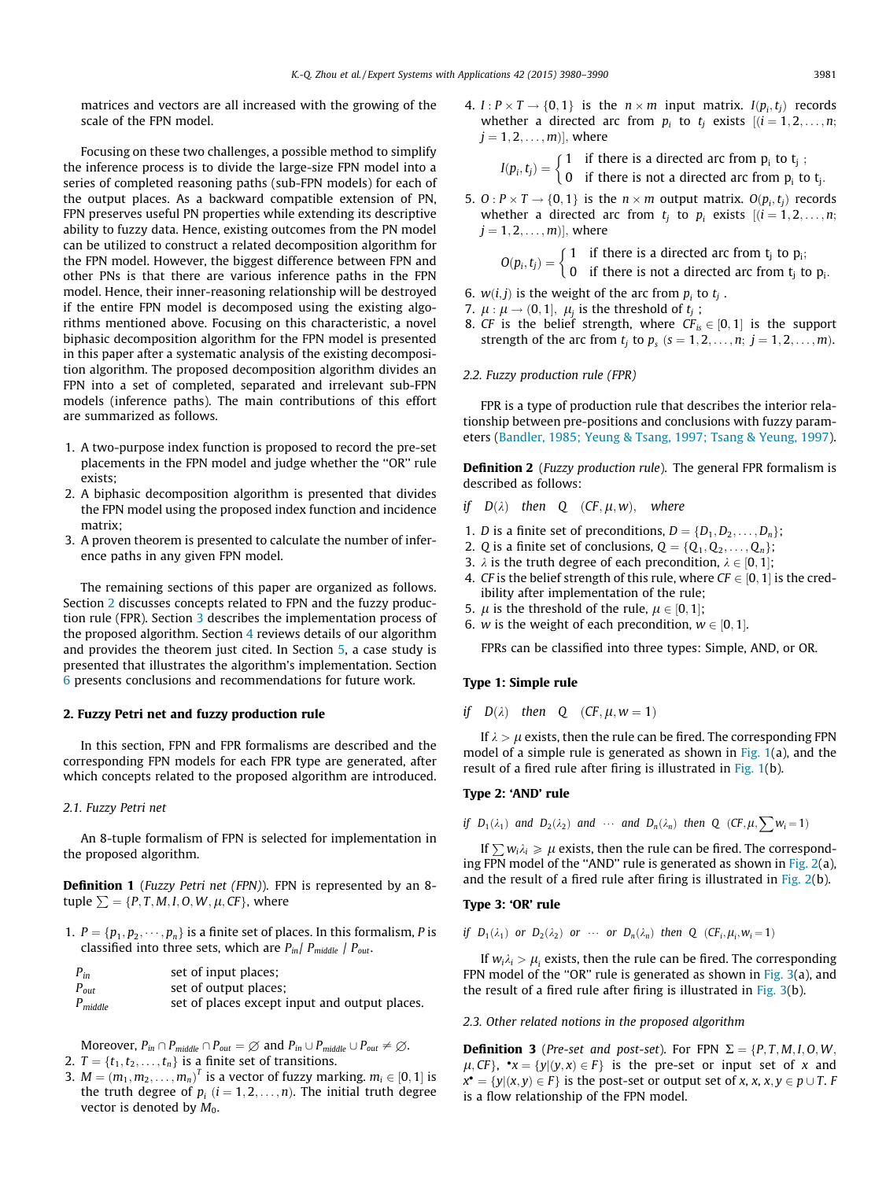matrices and vectors are all increased with the growing of the scale of the FPN model.

Focusing on these two challenges, a possible method to simplify the inference process is to divide the large-size FPN model into a series of completed reasoning paths (sub-FPN models) for each of the output places. As a backward compatible extension of PN, FPN preserves useful PN properties while extending its descriptive ability to fuzzy data. Hence, existing outcomes from the PN model can be utilized to construct a related decomposition algorithm for the FPN model. However, the biggest difference between FPN and other PNs is that there are various inference paths in the FPN model. Hence, their inner-reasoning relationship will be destroyed if the entire FPN model is decomposed using the existing algorithms mentioned above. Focusing on this characteristic, a novel biphasic decomposition algorithm for the FPN model is presented in this paper after a systematic analysis of the existing decomposition algorithm. The proposed decomposition algorithm divides an FPN into a set of completed, separated and irrelevant sub-FPN models (inference paths). The main contributions of this effort are summarized as follows.

- 1. A two-purpose index function is proposed to record the pre-set placements in the FPN model and judge whether the ''OR'' rule exists;
- 2. A biphasic decomposition algorithm is presented that divides the FPN model using the proposed index function and incidence matrix;
- 3. A proven theorem is presented to calculate the number of inference paths in any given FPN model.

The remaining sections of this paper are organized as follows. Section 2 discusses concepts related to FPN and the fuzzy production rule (FPR). Section [3](#page--1-0) describes the implementation process of the proposed algorithm. Section [4](#page--1-0) reviews details of our algorithm and provides the theorem just cited. In Section [5,](#page--1-0) a case study is presented that illustrates the algorithm's implementation. Section [6](#page--1-0) presents conclusions and recommendations for future work.

#### 2. Fuzzy Petri net and fuzzy production rule

In this section, FPN and FPR formalisms are described and the corresponding FPN models for each FPR type are generated, after which concepts related to the proposed algorithm are introduced.

#### 2.1. Fuzzy Petri net

An 8-tuple formalism of FPN is selected for implementation in the proposed algorithm.

Definition 1 (Fuzzy Petri net (FPN)). FPN is represented by an 8tuple  $\Sigma = \{P, T, M, I, O, W, \mu, CF\}$ , where

1.  $P = \{p_1, p_2, \dots, p_n\}$  is a finite set of places. In this formalism, P is classified into three sets, which are  $P_{in}/P_{middle}/P_{out}$ .

| $P_{in}$     | set of input places;                          |
|--------------|-----------------------------------------------|
| $P_{out}$    | set of output places;                         |
| $P_{middle}$ | set of places except input and output places. |

Moreover,  $P_{in} \cap P_{middle} \cap P_{out} = \emptyset$  and  $P_{in} \cup P_{middle} \cup P_{out} \neq \emptyset$ . 2.  $T = \{t_1, t_2, \ldots, t_n\}$  is a finite set of transitions.

3.  $M = (m_1, m_2, \ldots, m_n)^T$  is a vector of fuzzy marking.  $m_i \in [0, 1]$  is the truth degree of  $p_i$   $(i = 1, 2, ..., n)$ . The initial truth degree vector is denoted by  $M_0$ .

4.  $I: P \times T \rightarrow \{0, 1\}$  is the  $n \times m$  input matrix.  $I(p_i, t_i)$  records whether a directed arc from  $p_i$  to  $t_i$  exists  $[(i = 1, 2, \ldots, n;$  $j = 1, 2, \ldots, m$ ], where

> $I(p_i, t_j) = \begin{cases} 1 & \text{if there is a directed arc from } p_i \text{ to } t_j ; \\ 0 & \text{if there is not a directed arc from } p_i \text{ to } t_j. \end{cases}$ -

5. O :  $P \times T \rightarrow \{0, 1\}$  is the  $n \times m$  output matrix.  $O(p_i, t_i)$  records whether a directed arc from  $t_i$  to  $p_i$  exists  $[(i = 1, 2, \ldots, n;$  $j = 1, 2, \ldots, m$ ], where

$$
O(p_i, t_j) = \begin{cases} 1 & \text{if there is a directed arc from } t_j \text{ to } p_i; \\ 0 & \text{if there is not a directed arc from } t_j \text{ to } p_i. \end{cases}
$$

- 6.  $w(i, j)$  is the weight of the arc from  $p_i$  to  $t_i$ .
- 7.  $\mu$  :  $\mu \rightarrow (0, 1]$ ,  $\mu_i$  is the threshold of  $t_j$ ;
- 8. CF is the belief strength, where  $CF_{is} \in [0, 1]$  is the support strength of the arc from  $t_j$  to  $p_s$  ( $s = 1, 2, \ldots, n; j = 1, 2, \ldots, m$ ).

#### 2.2. Fuzzy production rule (FPR)

FPR is a type of production rule that describes the interior relationship between pre-positions and conclusions with fuzzy parameters ([Bandler, 1985; Yeung & Tsang, 1997; Tsang & Yeung, 1997\)](#page--1-0).

**Definition 2** (*Fuzzy production rule*). The general FPR formalism is described as follows:

if  $D(\lambda)$  then Q (CF,  $\mu$ , w), where

- 1. *D* is a finite set of preconditions,  $D = \{D_1, D_2, \ldots, D_n\};$
- 2. Q is a finite set of conclusions,  $Q = \{Q_1, Q_2, \ldots, Q_n\};$
- 3.  $\lambda$  is the truth degree of each precondition,  $\lambda \in [0, 1]$ ;
- 4. CF is the belief strength of this rule, where  $CF \in [0, 1]$  is the credibility after implementation of the rule;
- 5.  $\mu$  is the threshold of the rule,  $\mu \in [0, 1]$ ;
- 6. *w* is the weight of each precondition,  $w \in [0, 1]$ .

FPRs can be classified into three types: Simple, AND, or OR.

#### Type 1: Simple rule

if  $D(\lambda)$  then Q  $(CF, \mu, w = 1)$ 

If  $\lambda > \mu$  exists, then the rule can be fired. The corresponding FPN model of a simple rule is generated as shown in  $Fig. 1(a)$  $Fig. 1(a)$ , and the result of a fired rule after firing is illustrated in [Fig. 1](#page--1-0)(b).

#### Type 2: 'AND' rule

if 
$$
D_1(\lambda_1)
$$
 and  $D_2(\lambda_2)$  and  $\cdots$  and  $D_n(\lambda_n)$  then Q  $(CF, \mu, \sum w_i = 1)$ 

If  $\sum w_i \lambda_i \ge \mu$  exists, then the rule can be fired. The corresponding FPN model of the "AND" rule is generated as shown in Fig.  $2(a)$ , and the result of a fired rule after firing is illustrated in [Fig. 2](#page--1-0)(b).

#### Type 3: 'OR' rule

if  $D_1(\lambda_1)$  or  $D_2(\lambda_2)$  or  $\cdots$  or  $D_n(\lambda_n)$  then Q  $(CF_i,\mu_i,w_i=1)$ 

If  $w_i \lambda_i > \mu_i$  exists, then the rule can be fired. The corresponding FPN model of the "OR" rule is generated as shown in [Fig. 3\(](#page--1-0)a), and the result of a fired rule after firing is illustrated in [Fig. 3](#page--1-0)(b).

2.3. Other related notions in the proposed algorithm

**Definition 3** (Pre-set and post-set). For FPN  $\Sigma = \{P, T, M, I, O, W, \}$  $\mu$ , CF},  $\mathbf{v} \times \mathbf{x} = \{y | (y, x) \in F\}$  is the pre-set or input set of x and  $x^{\bullet} = \{y | (x, y) \in F\}$  is the post-set or output set of x, x,  $x, y \in p \cup T$ . F is a flow relationship of the FPN model.